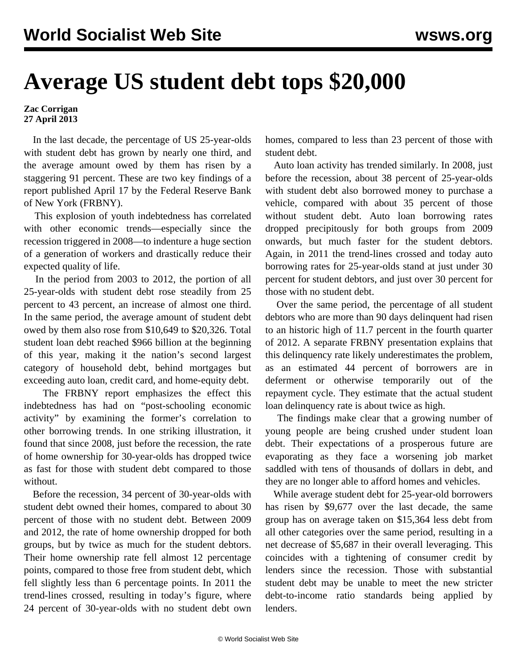## **Average US student debt tops \$20,000**

**Zac Corrigan 27 April 2013**

 In the last decade, the percentage of US 25-year-olds with student debt has grown by nearly one third, and the average amount owed by them has risen by a staggering 91 percent. These are two key findings of a [report](http://libertystreeteconomics.newyorkfed.org/2013/04/young-student-loan-borrowers-retreat-from-housing-and-auto-markets.html) published April 17 by the Federal Reserve Bank of New York (FRBNY).

 This explosion of youth indebtedness has correlated with other economic trends—especially since the recession triggered in 2008—to indenture a huge section of a generation of workers and drastically reduce their expected quality of life.

 In the period from 2003 to 2012, the portion of all 25-year-olds with student debt rose steadily from 25 percent to 43 percent, an increase of almost one third. In the same period, the average amount of student debt owed by them also rose from \$10,649 to \$20,326. Total student loan debt reached \$966 billion at the beginning of this year, making it the nation's second largest category of household debt, behind mortgages but exceeding auto loan, credit card, and home-equity debt.

 The FRBNY report emphasizes the effect this indebtedness has had on "post-schooling economic activity" by examining the former's correlation to other borrowing trends. In one striking illustration, it found that since 2008, just before the recession, the rate of home ownership for 30-year-olds has dropped twice as fast for those with student debt compared to those without.

 Before the recession, 34 percent of 30-year-olds with student debt owned their homes, compared to about 30 percent of those with no student debt. Between 2009 and 2012, the rate of home ownership dropped for both groups, but by twice as much for the student debtors. Their home ownership rate fell almost 12 percentage points, compared to those free from student debt, which fell slightly less than 6 percentage points. In 2011 the trend-lines crossed, resulting in today's figure, where 24 percent of 30-year-olds with no student debt own

homes, compared to less than 23 percent of those with student debt.

 Auto loan activity has trended similarly. In 2008, just before the recession, about 38 percent of 25-year-olds with student debt also borrowed money to purchase a vehicle, compared with about 35 percent of those without student debt. Auto loan borrowing rates dropped precipitously for both groups from 2009 onwards, but much faster for the student debtors. Again, in 2011 the trend-lines crossed and today auto borrowing rates for 25-year-olds stand at just under 30 percent for student debtors, and just over 30 percent for those with no student debt.

 Over the same period, the percentage of all student debtors who are more than 90 days delinquent had risen to an historic high of 11.7 percent in the fourth quarter of 2012. A separate FRBNY [presentation](http://www.newyorkfed.org/householdcredit/index.html) explains that this delinquency rate likely underestimates the problem, as an estimated 44 percent of borrowers are in deferment or otherwise temporarily out of the repayment cycle. They estimate that the actual student loan delinquency rate is about twice as high.

 The findings make clear that a growing number of young people are being crushed under student loan debt. Their expectations of a prosperous future are evaporating as they face a worsening job market saddled with tens of thousands of dollars in debt, and they are no longer able to afford homes and vehicles.

 While average student debt for 25-year-old borrowers has risen by \$9,677 over the last decade, the same group has on average taken on \$15,364 less debt from all other categories over the same period, resulting in a net decrease of \$5,687 in their overall leveraging. This coincides with a tightening of consumer credit by lenders since the recession. Those with substantial student debt may be unable to meet the new stricter debt-to-income ratio standards being applied by lenders.